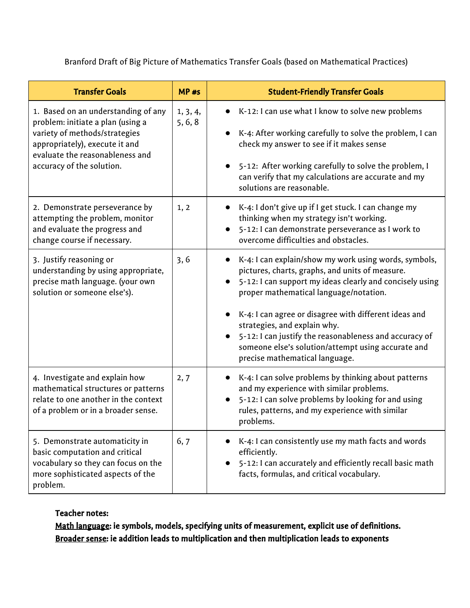Branford Draft of Big Picture of Mathematics Transfer Goals (based on Mathematical Practices)

| <b>Transfer Goals</b>                                                                                                                                                                                       | $MP$ #s             | <b>Student-Friendly Transfer Goals</b>                                                                                                                                                                                                                                                                                                                                                                                                                                 |
|-------------------------------------------------------------------------------------------------------------------------------------------------------------------------------------------------------------|---------------------|------------------------------------------------------------------------------------------------------------------------------------------------------------------------------------------------------------------------------------------------------------------------------------------------------------------------------------------------------------------------------------------------------------------------------------------------------------------------|
| 1. Based on an understanding of any<br>problem: initiate a plan (using a<br>variety of methods/strategies<br>appropriately), execute it and<br>evaluate the reasonableness and<br>accuracy of the solution. | 1, 3, 4,<br>5, 6, 8 | K-12: I can use what I know to solve new problems<br>K-4: After working carefully to solve the problem, I can<br>check my answer to see if it makes sense<br>5-12: After working carefully to solve the problem, I<br>can verify that my calculations are accurate and my<br>solutions are reasonable.                                                                                                                                                                 |
| 2. Demonstrate perseverance by<br>attempting the problem, monitor<br>and evaluate the progress and<br>change course if necessary.                                                                           | 1, 2                | K-4: I don't give up if I get stuck. I can change my<br>thinking when my strategy isn't working.<br>5-12: I can demonstrate perseverance as I work to<br>overcome difficulties and obstacles.                                                                                                                                                                                                                                                                          |
| 3. Justify reasoning or<br>understanding by using appropriate,<br>precise math language. (your own<br>solution or someone else's).                                                                          | 3, 6                | K-4: I can explain/show my work using words, symbols,<br>$\bullet$<br>pictures, charts, graphs, and units of measure.<br>5-12: I can support my ideas clearly and concisely using<br>proper mathematical language/notation.<br>K-4: I can agree or disagree with different ideas and<br>strategies, and explain why.<br>5-12: I can justify the reasonableness and accuracy of<br>someone else's solution/attempt using accurate and<br>precise mathematical language. |
| 4. Investigate and explain how<br>mathematical structures or patterns<br>relate to one another in the context<br>of a problem or in a broader sense.                                                        | 2, 7                | K-4: I can solve problems by thinking about patterns<br>and my experience with similar problems.<br>5-12: I can solve problems by looking for and using<br>rules, patterns, and my experience with similar<br>problems.                                                                                                                                                                                                                                                |
| 5. Demonstrate automaticity in<br>basic computation and critical<br>vocabulary so they can focus on the<br>more sophisticated aspects of the<br>problem.                                                    | 6, 7                | K-4: I can consistently use my math facts and words<br>efficiently.<br>5-12: I can accurately and efficiently recall basic math<br>$\bullet$<br>facts, formulas, and critical vocabulary.                                                                                                                                                                                                                                                                              |

## Teacher notes:

Math language: ie symbols, models, specifying units of measurement, explicit use of definitions. Broader sense: ie addition leads to multiplication and then multiplication leads to exponents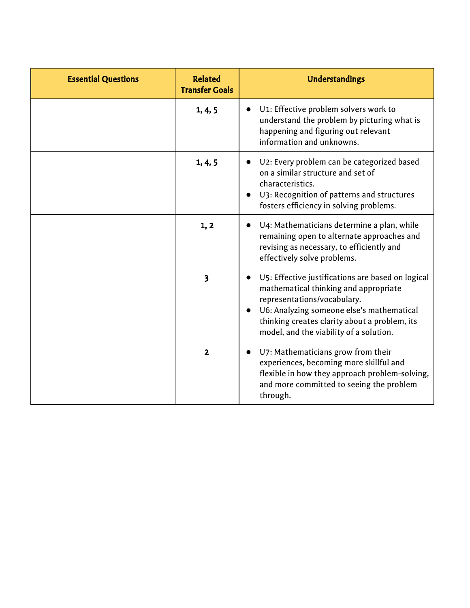| <b>Essential Questions</b> | <b>Related</b><br><b>Transfer Goals</b> | <b>Understandings</b>                                                                                                                                                                                                                                                |
|----------------------------|-----------------------------------------|----------------------------------------------------------------------------------------------------------------------------------------------------------------------------------------------------------------------------------------------------------------------|
|                            | 1, 4, 5                                 | U1: Effective problem solvers work to<br>understand the problem by picturing what is<br>happening and figuring out relevant<br>information and unknowns.                                                                                                             |
|                            | 1, 4, 5                                 | U2: Every problem can be categorized based<br>on a similar structure and set of<br>characteristics.<br>U3: Recognition of patterns and structures<br>fosters efficiency in solving problems.                                                                         |
|                            | 1, 2                                    | U4: Mathematicians determine a plan, while<br>remaining open to alternate approaches and<br>revising as necessary, to efficiently and<br>effectively solve problems.                                                                                                 |
|                            | $\overline{\mathbf{3}}$                 | • U5: Effective justifications are based on logical<br>mathematical thinking and appropriate<br>representations/vocabulary.<br>U6: Analyzing someone else's mathematical<br>thinking creates clarity about a problem, its<br>model, and the viability of a solution. |
|                            | $\overline{2}$                          | U7: Mathematicians grow from their<br>experiences, becoming more skillful and<br>flexible in how they approach problem-solving,<br>and more committed to seeing the problem<br>through.                                                                              |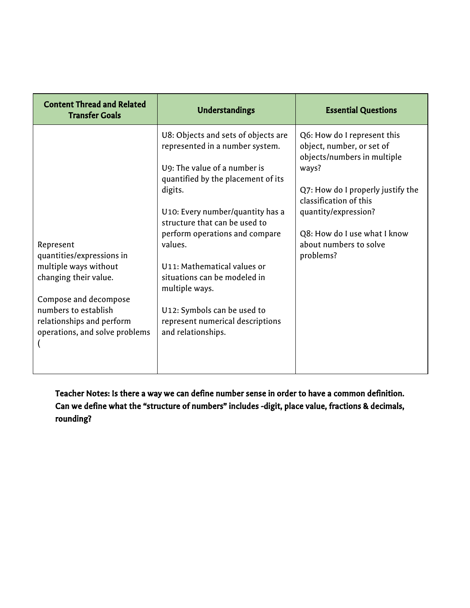| <b>Content Thread and Related</b><br><b>Transfer Goals</b>                                                                                                                                               | <b>Understandings</b>                                                                                                                                                                                                                                                                                                                                                                                                                               | <b>Essential Questions</b>                                                                                                                                                                                                                                     |
|----------------------------------------------------------------------------------------------------------------------------------------------------------------------------------------------------------|-----------------------------------------------------------------------------------------------------------------------------------------------------------------------------------------------------------------------------------------------------------------------------------------------------------------------------------------------------------------------------------------------------------------------------------------------------|----------------------------------------------------------------------------------------------------------------------------------------------------------------------------------------------------------------------------------------------------------------|
| Represent<br>quantities/expressions in<br>multiple ways without<br>changing their value.<br>Compose and decompose<br>numbers to establish<br>relationships and perform<br>operations, and solve problems | U8: Objects and sets of objects are<br>represented in a number system.<br>U9: The value of a number is<br>quantified by the placement of its<br>digits.<br>U10: Every number/quantity has a<br>structure that can be used to<br>perform operations and compare<br>values.<br>U11: Mathematical values or<br>situations can be modeled in<br>multiple ways.<br>U12: Symbols can be used to<br>represent numerical descriptions<br>and relationships. | Q6: How do I represent this<br>object, number, or set of<br>objects/numbers in multiple<br>ways?<br>Q7: How do I properly justify the<br>classification of this<br>quantity/expression?<br>Q8: How do I use what I know<br>about numbers to solve<br>problems? |

Teacher Notes: Is there a way we can define number sense in order to have a common definition. Can we define what the "structure of numbers" includes -digit, place value, fractions & decimals, rounding?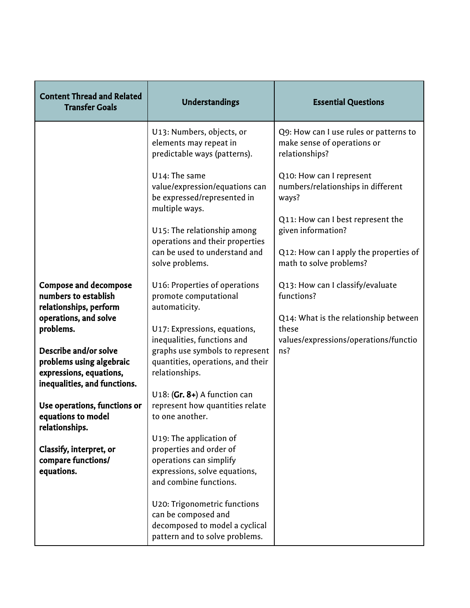| <b>Content Thread and Related</b><br><b>Transfer Goals</b>                                                   | Understandings                                                                                                                           | <b>Essential Questions</b>                                                              |
|--------------------------------------------------------------------------------------------------------------|------------------------------------------------------------------------------------------------------------------------------------------|-----------------------------------------------------------------------------------------|
|                                                                                                              | U13: Numbers, objects, or<br>elements may repeat in<br>predictable ways (patterns).                                                      | Q9: How can I use rules or patterns to<br>make sense of operations or<br>relationships? |
|                                                                                                              | U14: The same<br>value/expression/equations can<br>be expressed/represented in<br>multiple ways.                                         | Q10: How can I represent<br>numbers/relationships in different<br>ways?                 |
|                                                                                                              | U15: The relationship among<br>operations and their properties                                                                           | Q11: How can I best represent the<br>given information?                                 |
|                                                                                                              | can be used to understand and<br>solve problems.                                                                                         | Q12: How can I apply the properties of<br>math to solve problems?                       |
| <b>Compose and decompose</b><br>numbers to establish<br>relationships, perform                               | U16: Properties of operations<br>promote computational<br>automaticity.                                                                  | Q13: How can I classify/evaluate<br>functions?                                          |
| operations, and solve<br>problems.                                                                           | U17: Expressions, equations,<br>inequalities, functions and                                                                              | Q14: What is the relationship between<br>these<br>values/expressions/operations/functio |
| Describe and/or solve<br>problems using algebraic<br>expressions, equations,<br>inequalities, and functions. | graphs use symbols to represent<br>quantities, operations, and their<br>relationships.                                                   | ns?                                                                                     |
| Use operations, functions or<br>equations to model<br>relationships.                                         | U18: $(Gr. 8+)$ A function can<br>represent how quantities relate<br>to one another.                                                     |                                                                                         |
| Classify, interpret, or<br>compare functions/<br>equations.                                                  | U19: The application of<br>properties and order of<br>operations can simplify<br>expressions, solve equations,<br>and combine functions. |                                                                                         |
|                                                                                                              | U20: Trigonometric functions<br>can be composed and<br>decomposed to model a cyclical<br>pattern and to solve problems.                  |                                                                                         |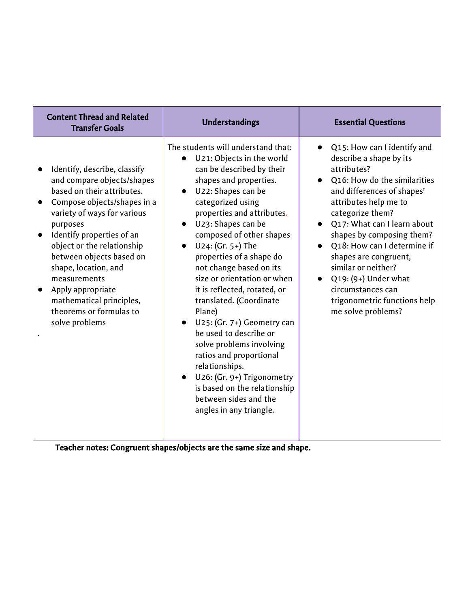| <b>Content Thread and Related</b><br><b>Transfer Goals</b>                                                                                                                                                                                                                                                                                                                                                   | <b>Understandings</b>                                                                                                                                                                                                                                                                                                                                                                                                                                                                                                                                                                                                                                                                                          | <b>Essential Questions</b>                                                                                                                                                                                                                                                                                                                                                                                                                                   |
|--------------------------------------------------------------------------------------------------------------------------------------------------------------------------------------------------------------------------------------------------------------------------------------------------------------------------------------------------------------------------------------------------------------|----------------------------------------------------------------------------------------------------------------------------------------------------------------------------------------------------------------------------------------------------------------------------------------------------------------------------------------------------------------------------------------------------------------------------------------------------------------------------------------------------------------------------------------------------------------------------------------------------------------------------------------------------------------------------------------------------------------|--------------------------------------------------------------------------------------------------------------------------------------------------------------------------------------------------------------------------------------------------------------------------------------------------------------------------------------------------------------------------------------------------------------------------------------------------------------|
| Identify, describe, classify<br>and compare objects/shapes<br>based on their attributes.<br>Compose objects/shapes in a<br>variety of ways for various<br>purposes<br>Identify properties of an<br>$\bullet$<br>object or the relationship<br>between objects based on<br>shape, location, and<br>measurements<br>Apply appropriate<br>mathematical principles,<br>theorems or formulas to<br>solve problems | The students will understand that:<br>U21: Objects in the world<br>$\bullet$<br>can be described by their<br>shapes and properties.<br>U22: Shapes can be<br>categorized using<br>properties and attributes.<br>U23: Shapes can be<br>$\bullet$<br>composed of other shapes<br>U24: (Gr. 5+) The<br>properties of a shape do<br>not change based on its<br>size or orientation or when<br>it is reflected, rotated, or<br>translated. (Coordinate<br>Plane)<br>U25: (Gr. 7+) Geometry can<br>be used to describe or<br>solve problems involving<br>ratios and proportional<br>relationships.<br>U26: (Gr. 9+) Trigonometry<br>is based on the relationship<br>between sides and the<br>angles in any triangle. | Q15: How can I identify and<br>$\bullet$<br>describe a shape by its<br>attributes?<br>Q16: How do the similarities<br>$\bullet$<br>and differences of shapes'<br>attributes help me to<br>categorize them?<br>Q17: What can I learn about<br>shapes by composing them?<br>Q18: How can I determine if<br>shapes are congruent,<br>similar or neither?<br>$Q_1$ 9: (9+) Under what<br>circumstances can<br>trigonometric functions help<br>me solve problems? |

Teacher notes: Congruent shapes/objects are the same size and shape.